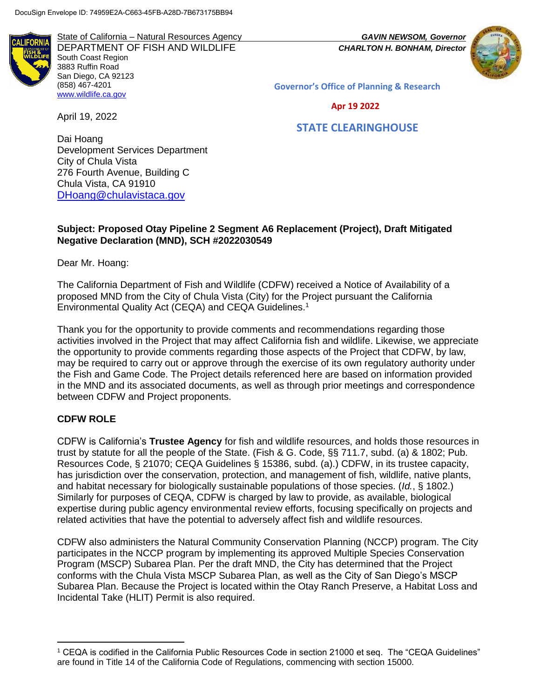State of California – Natural Resources Agency *GAVIN NEWSOM, Governor* DEPARTMENT OF FISH AND WILDLIFE *CHARLTON H. BONHAM, Director* South Coast Region 3883 Ruffin Road San Diego, CA 92123 (858) 467-4201 [www.wildlife.ca.gov](https://wildlife.ca.gov/)

**Governor's Office of Planning & Research**

 **Apr 19 2022**

# **STATE CLEARINGHOUSE**

Dai Hoang Development Services Department City of Chula Vista 276 Fourth Avenue, Building C Chula Vista, CA 91910 [DHoang@chulavistaca.gov](mailto:DHoang@chulavistaca.gov)

#### **Subject: Proposed Otay Pipeline 2 Segment A6 Replacement (Project), Draft Mitigated Negative Declaration (MND), SCH #2022030549**

Dear Mr. Hoang:

April 19, 2022

The California Department of Fish and Wildlife (CDFW) received a Notice of Availability of a proposed MND from the City of Chula Vista (City) for the Project pursuant the California Environmental Quality Act (CEQA) and CEQA Guidelines.<sup>1</sup>

Thank you for the opportunity to provide comments and recommendations regarding those activities involved in the Project that may affect California fish and wildlife. Likewise, we appreciate the opportunity to provide comments regarding those aspects of the Project that CDFW, by law, may be required to carry out or approve through the exercise of its own regulatory authority under the Fish and Game Code. The Project details referenced here are based on information provided in the MND and its associated documents, as well as through prior meetings and correspondence between CDFW and Project proponents.

### **CDFW ROLE**

l

CDFW is California's **Trustee Agency** for fish and wildlife resources, and holds those resources in trust by statute for all the people of the State. (Fish & G. Code, §§ 711.7, subd. (a) & 1802; Pub. Resources Code, § 21070; CEQA Guidelines § 15386, subd. (a).) CDFW, in its trustee capacity, has jurisdiction over the conservation, protection, and management of fish, wildlife, native plants, and habitat necessary for biologically sustainable populations of those species. (*Id.*, § 1802.) Similarly for purposes of CEQA, CDFW is charged by law to provide, as available, biological expertise during public agency environmental review efforts, focusing specifically on projects and related activities that have the potential to adversely affect fish and wildlife resources.

CDFW also administers the Natural Community Conservation Planning (NCCP) program. The City participates in the NCCP program by implementing its approved Multiple Species Conservation Program (MSCP) Subarea Plan. Per the draft MND, the City has determined that the Project conforms with the Chula Vista MSCP Subarea Plan, as well as the City of San Diego's MSCP Subarea Plan. Because the Project is located within the Otay Ranch Preserve, a Habitat Loss and Incidental Take (HLIT) Permit is also required.

<sup>1</sup> CEQA is codified in the California Public Resources Code in section 21000 et seq. The "CEQA Guidelines" are found in Title 14 of the California Code of Regulations, commencing with section 15000.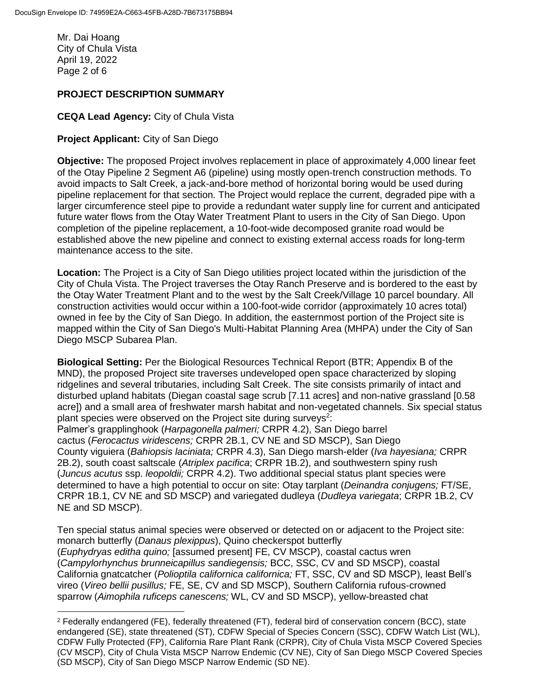Mr. Dai Hoang City of Chula Vista April 19, 2022 Page 2 of 6

l

### **PROJECT DESCRIPTION SUMMARY**

#### **CEQA Lead Agency:** City of Chula Vista

#### **Project Applicant:** City of San Diego

**Objective:** The proposed Project involves replacement in place of approximately 4,000 linear feet of the Otay Pipeline 2 Segment A6 (pipeline) using mostly open-trench construction methods. To avoid impacts to Salt Creek, a jack-and-bore method of horizontal boring would be used during pipeline replacement for that section. The Project would replace the current, degraded pipe with a larger circumference steel pipe to provide a redundant water supply line for current and anticipated future water flows from the Otay Water Treatment Plant to users in the City of San Diego. Upon completion of the pipeline replacement, a 10-foot-wide decomposed granite road would be established above the new pipeline and connect to existing external access roads for long-term maintenance access to the site.

**Location:** The Project is a City of San Diego utilities project located within the jurisdiction of the City of Chula Vista. The Project traverses the Otay Ranch Preserve and is bordered to the east by the Otay Water Treatment Plant and to the west by the Salt Creek/Village 10 parcel boundary. All construction activities would occur within a 100-foot-wide corridor (approximately 10 acres total) owned in fee by the City of San Diego. In addition, the easternmost portion of the Project site is mapped within the City of San Diego's Multi-Habitat Planning Area (MHPA) under the City of San Diego MSCP Subarea Plan.

**Biological Setting:** Per the Biological Resources Technical Report (BTR; Appendix B of the MND), the proposed Project site traverses undeveloped open space characterized by sloping ridgelines and several tributaries, including Salt Creek. The site consists primarily of intact and disturbed upland habitats (Diegan coastal sage scrub [7.11 acres] and non-native grassland [0.58 acre]) and a small area of freshwater marsh habitat and non-vegetated channels. Six special status plant species were observed on the Project site during surveys<sup>2</sup>:

Palmer's grapplinghook (*Harpagonella palmeri;* CRPR 4.2), San Diego barrel cactus (*Ferocactus viridescens;* CRPR 2B.1, CV NE and SD MSCP), San Diego County viguiera (*Bahiopsis laciniata;* CRPR 4.3), San Diego marsh-elder (*Iva hayesiana;* CRPR 2B.2), south coast saltscale (*Atriplex pacifica*; CRPR 1B.2), and southwestern spiny rush (*Juncus acutus* ssp. *leopoldii;* CRPR 4.2). Two additional special status plant species were determined to have a high potential to occur on site: Otay tarplant (*Deinandra conjugens;* FT/SE, CRPR 1B.1, CV NE and SD MSCP) and variegated dudleya (*Dudleya variegata*; CRPR 1B.2, CV NE and SD MSCP).

Ten special status animal species were observed or detected on or adjacent to the Project site: monarch butterfly (*Danaus plexippus*), Quino checkerspot butterfly (*Euphydryas editha quino;* [assumed present] FE, CV MSCP), coastal cactus wren (*Campylorhynchus brunneicapillus sandiegensis;* BCC, SSC, CV and SD MSCP), coastal California gnatcatcher (*Polioptila californica californica;* FT, SSC, CV and SD MSCP), least Bell's vireo (*Vireo bellii pusillus;* FE, SE, CV and SD MSCP), Southern California rufous-crowned sparrow (*Aimophila ruficeps canescens;* WL, CV and SD MSCP), yellow-breasted chat

<sup>2</sup> Federally endangered (FE), federally threatened (FT), federal bird of conservation concern (BCC), state endangered (SE), state threatened (ST), CDFW Special of Species Concern (SSC), CDFW Watch List (WL), CDFW Fully Protected (FP), California Rare Plant Rank (CRPR), City of Chula Vista MSCP Covered Species (CV MSCP), City of Chula Vista MSCP Narrow Endemic (CV NE), City of San Diego MSCP Covered Species (SD MSCP), City of San Diego MSCP Narrow Endemic (SD NE).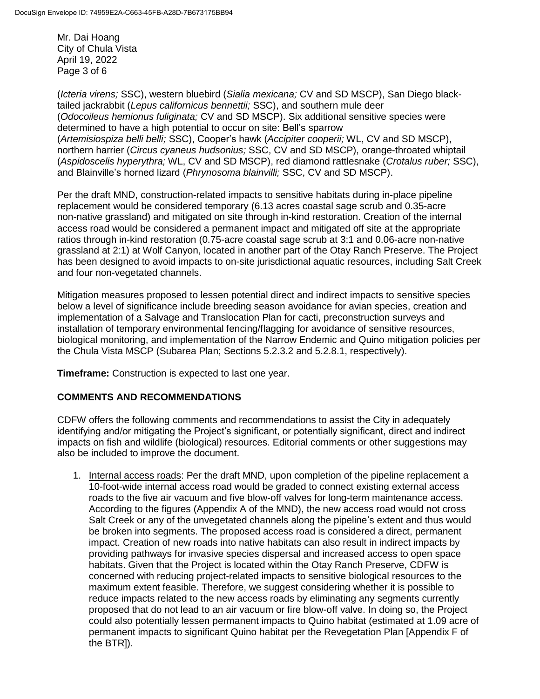Mr. Dai Hoang City of Chula Vista April 19, 2022 Page 3 of 6

(*Icteria virens;* SSC), western bluebird (*Sialia mexicana;* CV and SD MSCP), San Diego blacktailed jackrabbit (*Lepus californicus bennettii;* SSC), and southern mule deer (*Odocoileus hemionus fuliginata;* CV and SD MSCP). Six additional sensitive species were determined to have a high potential to occur on site: Bell's sparrow (*Artemisiospiza belli belli;* SSC), Cooper's hawk (*Accipiter cooperii;* WL, CV and SD MSCP), northern harrier (*Circus cyaneus hudsonius;* SSC, CV and SD MSCP), orange-throated whiptail (*Aspidoscelis hyperythra;* WL, CV and SD MSCP), red diamond rattlesnake (*Crotalus ruber;* SSC), and Blainville's horned lizard (*Phrynosoma blainvilli;* SSC, CV and SD MSCP).

Per the draft MND, construction-related impacts to sensitive habitats during in-place pipeline replacement would be considered temporary (6.13 acres coastal sage scrub and 0.35-acre non-native grassland) and mitigated on site through in-kind restoration. Creation of the internal access road would be considered a permanent impact and mitigated off site at the appropriate ratios through in-kind restoration (0.75-acre coastal sage scrub at 3:1 and 0.06-acre non-native grassland at 2:1) at Wolf Canyon, located in another part of the Otay Ranch Preserve. The Project has been designed to avoid impacts to on-site jurisdictional aquatic resources, including Salt Creek and four non-vegetated channels.

Mitigation measures proposed to lessen potential direct and indirect impacts to sensitive species below a level of significance include breeding season avoidance for avian species, creation and implementation of a Salvage and Translocation Plan for cacti, preconstruction surveys and installation of temporary environmental fencing/flagging for avoidance of sensitive resources, biological monitoring, and implementation of the Narrow Endemic and Quino mitigation policies per the Chula Vista MSCP (Subarea Plan; Sections 5.2.3.2 and 5.2.8.1, respectively).

**Timeframe:** Construction is expected to last one year.

### **COMMENTS AND RECOMMENDATIONS**

CDFW offers the following comments and recommendations to assist the City in adequately identifying and/or mitigating the Project's significant, or potentially significant, direct and indirect impacts on fish and wildlife (biological) resources. Editorial comments or other suggestions may also be included to improve the document.

1. Internal access roads: Per the draft MND, upon completion of the pipeline replacement a 10-foot-wide internal access road would be graded to connect existing external access roads to the five air vacuum and five blow-off valves for long-term maintenance access. According to the figures (Appendix A of the MND), the new access road would not cross Salt Creek or any of the unvegetated channels along the pipeline's extent and thus would be broken into segments. The proposed access road is considered a direct, permanent impact. Creation of new roads into native habitats can also result in indirect impacts by providing pathways for invasive species dispersal and increased access to open space habitats. Given that the Project is located within the Otay Ranch Preserve, CDFW is concerned with reducing project-related impacts to sensitive biological resources to the maximum extent feasible. Therefore, we suggest considering whether it is possible to reduce impacts related to the new access roads by eliminating any segments currently proposed that do not lead to an air vacuum or fire blow-off valve. In doing so, the Project could also potentially lessen permanent impacts to Quino habitat (estimated at 1.09 acre of permanent impacts to significant Quino habitat per the Revegetation Plan [Appendix F of the BTR]).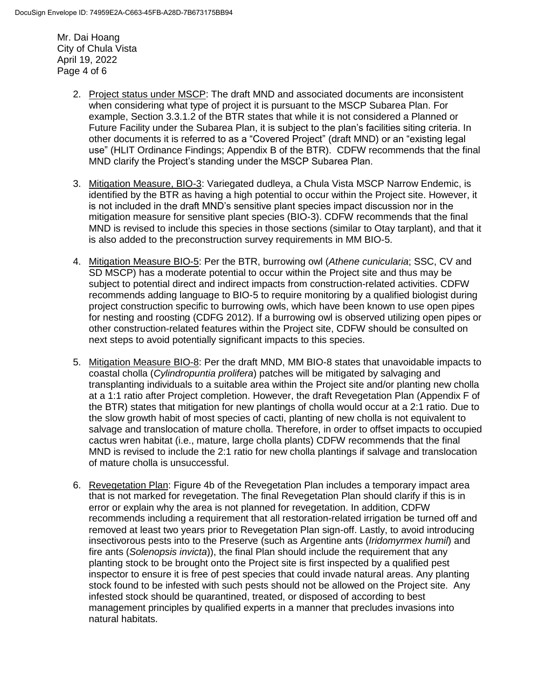Mr. Dai Hoang City of Chula Vista April 19, 2022 Page 4 of 6

- 2. Project status under MSCP: The draft MND and associated documents are inconsistent when considering what type of project it is pursuant to the MSCP Subarea Plan. For example, Section 3.3.1.2 of the BTR states that while it is not considered a Planned or Future Facility under the Subarea Plan, it is subject to the plan's facilities siting criteria. In other documents it is referred to as a "Covered Project" (draft MND) or an "existing legal use" (HLIT Ordinance Findings; Appendix B of the BTR). CDFW recommends that the final MND clarify the Project's standing under the MSCP Subarea Plan.
- 3. Mitigation Measure, BIO-3: Variegated dudleya, a Chula Vista MSCP Narrow Endemic, is identified by the BTR as having a high potential to occur within the Project site. However, it is not included in the draft MND's sensitive plant species impact discussion nor in the mitigation measure for sensitive plant species (BIO-3). CDFW recommends that the final MND is revised to include this species in those sections (similar to Otay tarplant), and that it is also added to the preconstruction survey requirements in MM BIO-5.
- 4. Mitigation Measure BIO-5: Per the BTR, burrowing owl (*Athene cunicularia*; SSC, CV and SD MSCP) has a moderate potential to occur within the Project site and thus may be subject to potential direct and indirect impacts from construction-related activities. CDFW recommends adding language to BIO-5 to require monitoring by a qualified biologist during project construction specific to burrowing owls, which have been known to use open pipes for nesting and roosting (CDFG 2012). If a burrowing owl is observed utilizing open pipes or other construction-related features within the Project site, CDFW should be consulted on next steps to avoid potentially significant impacts to this species.
- 5. Mitigation Measure BIO-8: Per the draft MND, MM BIO-8 states that unavoidable impacts to coastal cholla (*Cylindropuntia prolifera*) patches will be mitigated by salvaging and transplanting individuals to a suitable area within the Project site and/or planting new cholla at a 1:1 ratio after Project completion. However, the draft Revegetation Plan (Appendix F of the BTR) states that mitigation for new plantings of cholla would occur at a 2:1 ratio. Due to the slow growth habit of most species of cacti, planting of new cholla is not equivalent to salvage and translocation of mature cholla. Therefore, in order to offset impacts to occupied cactus wren habitat (i.e., mature, large cholla plants) CDFW recommends that the final MND is revised to include the 2:1 ratio for new cholla plantings if salvage and translocation of mature cholla is unsuccessful.
- 6. Revegetation Plan: Figure 4b of the Revegetation Plan includes a temporary impact area that is not marked for revegetation. The final Revegetation Plan should clarify if this is in error or explain why the area is not planned for revegetation. In addition, CDFW recommends including a requirement that all restoration-related irrigation be turned off and removed at least two years prior to Revegetation Plan sign-off. Lastly, to avoid introducing insectivorous pests into to the Preserve (such as Argentine ants (*Iridomyrmex humil*) and fire ants (*Solenopsis invicta*)), the final Plan should include the requirement that any planting stock to be brought onto the Project site is first inspected by a qualified pest inspector to ensure it is free of pest species that could invade natural areas. Any planting stock found to be infested with such pests should not be allowed on the Project site. Any infested stock should be quarantined, treated, or disposed of according to best management principles by qualified experts in a manner that precludes invasions into natural habitats.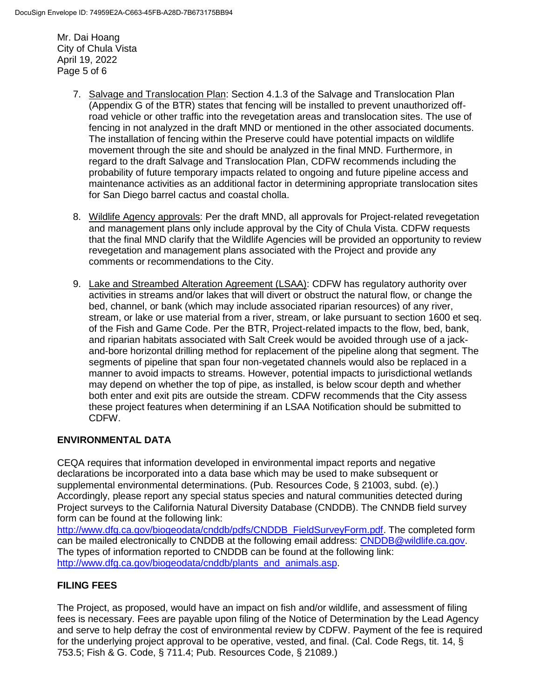Mr. Dai Hoang City of Chula Vista April 19, 2022 Page 5 of 6

- 7. Salvage and Translocation Plan: Section 4.1.3 of the Salvage and Translocation Plan (Appendix G of the BTR) states that fencing will be installed to prevent unauthorized offroad vehicle or other traffic into the revegetation areas and translocation sites. The use of fencing in not analyzed in the draft MND or mentioned in the other associated documents. The installation of fencing within the Preserve could have potential impacts on wildlife movement through the site and should be analyzed in the final MND. Furthermore, in regard to the draft Salvage and Translocation Plan, CDFW recommends including the probability of future temporary impacts related to ongoing and future pipeline access and maintenance activities as an additional factor in determining appropriate translocation sites for San Diego barrel cactus and coastal cholla.
- 8. Wildlife Agency approvals: Per the draft MND, all approvals for Project-related revegetation and management plans only include approval by the City of Chula Vista. CDFW requests that the final MND clarify that the Wildlife Agencies will be provided an opportunity to review revegetation and management plans associated with the Project and provide any comments or recommendations to the City.
- 9. Lake and Streambed Alteration Agreement (LSAA): CDFW has regulatory authority over activities in streams and/or lakes that will divert or obstruct the natural flow, or change the bed, channel, or bank (which may include associated riparian resources) of any river, stream, or lake or use material from a river, stream, or lake pursuant to section 1600 et seq. of the Fish and Game Code. Per the BTR, Project-related impacts to the flow, bed, bank, and riparian habitats associated with Salt Creek would be avoided through use of a jackand-bore horizontal drilling method for replacement of the pipeline along that segment. The segments of pipeline that span four non-vegetated channels would also be replaced in a manner to avoid impacts to streams. However, potential impacts to jurisdictional wetlands may depend on whether the top of pipe, as installed, is below scour depth and whether both enter and exit pits are outside the stream. CDFW recommends that the City assess these project features when determining if an LSAA Notification should be submitted to CDFW.

# **ENVIRONMENTAL DATA**

CEQA requires that information developed in environmental impact reports and negative declarations be incorporated into a data base which may be used to make subsequent or supplemental environmental determinations. (Pub. Resources Code, § 21003, subd. (e).) Accordingly, please report any special status species and natural communities detected during Project surveys to the California Natural Diversity Database (CNDDB). The CNNDB field survey form can be found at the following link:

[http://www.dfg.ca.gov/biogeodata/cnddb/pdfs/CNDDB\\_FieldSurveyForm.pdf.](http://www.dfg.ca.gov/biogeodata/cnddb/pdfs/CNDDB_FieldSurveyForm.pdf) The completed form can be mailed electronically to CNDDB at the following email address: [CNDDB@wildlife.ca.gov.](mailto:cnddb@dfg.ca.gov) The types of information reported to CNDDB can be found at the following link: [http://www.dfg.ca.gov/biogeodata/cnddb/plants\\_and\\_animals.asp.](http://www.dfg.ca.gov/biogeodata/cnddb/plants_and_animals.asp)

# **FILING FEES**

The Project, as proposed, would have an impact on fish and/or wildlife, and assessment of filing fees is necessary. Fees are payable upon filing of the Notice of Determination by the Lead Agency and serve to help defray the cost of environmental review by CDFW. Payment of the fee is required for the underlying project approval to be operative, vested, and final. (Cal. Code Regs, tit. 14, § 753.5; Fish & G. Code, § 711.4; Pub. Resources Code, § 21089.)